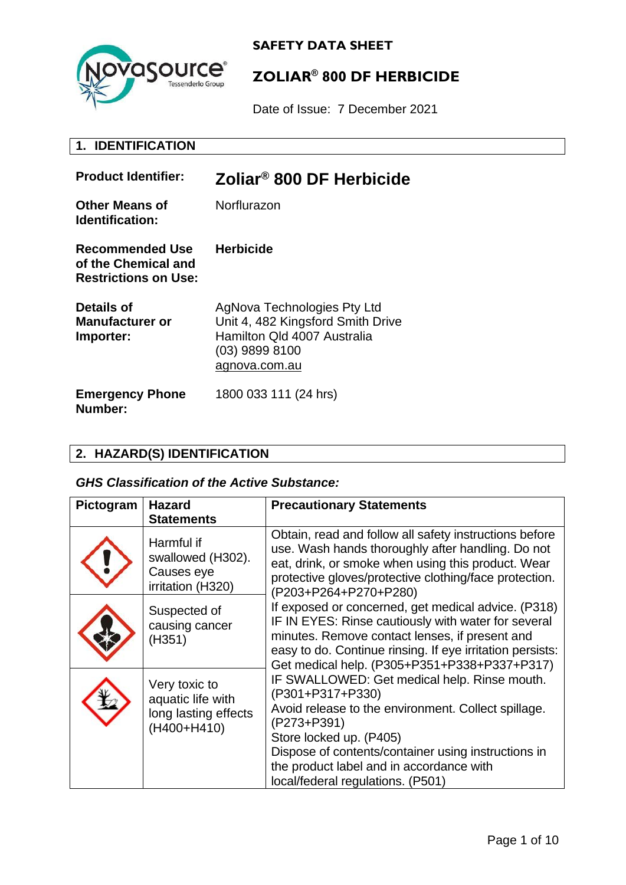

# **ZOLIAR® 800 DF HERBICIDE**

Date of Issue: 7 December 2021

## **1. IDENTIFICATION**

| <b>Product Identifier:</b>                                            | Zoliar <sup>®</sup> 800 DF Herbicide                                                                                                 |
|-----------------------------------------------------------------------|--------------------------------------------------------------------------------------------------------------------------------------|
| <b>Other Means of</b><br>Identification:                              | Norflurazon                                                                                                                          |
| Recommended Use<br>of the Chemical and<br><b>Restrictions on Use:</b> | <b>Herbicide</b>                                                                                                                     |
| Details of<br><b>Manufacturer or</b><br>Importer:                     | AgNova Technologies Pty Ltd<br>Unit 4, 482 Kingsford Smith Drive<br>Hamilton Qld 4007 Australia<br>$(03)$ 9899 8100<br>agnova.com.au |
| <b>Emergency Phone</b><br>Number:                                     | 1800 033 111 (24 hrs)                                                                                                                |

#### **2. HAZARD(S) IDENTIFICATION**

#### *GHS Classification of the Active Substance:*

| Pictogram | <b>Hazard</b><br><b>Statements</b>                                        | <b>Precautionary Statements</b>                                                                                                                                                                                                                                                                                                                                                                                                                                                                                                                                                                                                                                                                                                                                                                                                                |
|-----------|---------------------------------------------------------------------------|------------------------------------------------------------------------------------------------------------------------------------------------------------------------------------------------------------------------------------------------------------------------------------------------------------------------------------------------------------------------------------------------------------------------------------------------------------------------------------------------------------------------------------------------------------------------------------------------------------------------------------------------------------------------------------------------------------------------------------------------------------------------------------------------------------------------------------------------|
|           | Harmful if<br>swallowed (H302).<br>Causes eye<br>irritation (H320)        | Obtain, read and follow all safety instructions before<br>use. Wash hands thoroughly after handling. Do not<br>eat, drink, or smoke when using this product. Wear<br>protective gloves/protective clothing/face protection.<br>(P203+P264+P270+P280)<br>If exposed or concerned, get medical advice. (P318)<br>IF IN EYES: Rinse cautiously with water for several<br>minutes. Remove contact lenses, if present and<br>easy to do. Continue rinsing. If eye irritation persists:<br>Get medical help. (P305+P351+P338+P337+P317)<br>IF SWALLOWED: Get medical help. Rinse mouth.<br>(P301+P317+P330)<br>Avoid release to the environment. Collect spillage.<br>(P273+P391)<br>Store locked up. (P405)<br>Dispose of contents/container using instructions in<br>the product label and in accordance with<br>local/federal regulations. (P501) |
|           | Suspected of<br>causing cancer<br>(H351)                                  |                                                                                                                                                                                                                                                                                                                                                                                                                                                                                                                                                                                                                                                                                                                                                                                                                                                |
|           | Very toxic to<br>aquatic life with<br>long lasting effects<br>(H400+H410) |                                                                                                                                                                                                                                                                                                                                                                                                                                                                                                                                                                                                                                                                                                                                                                                                                                                |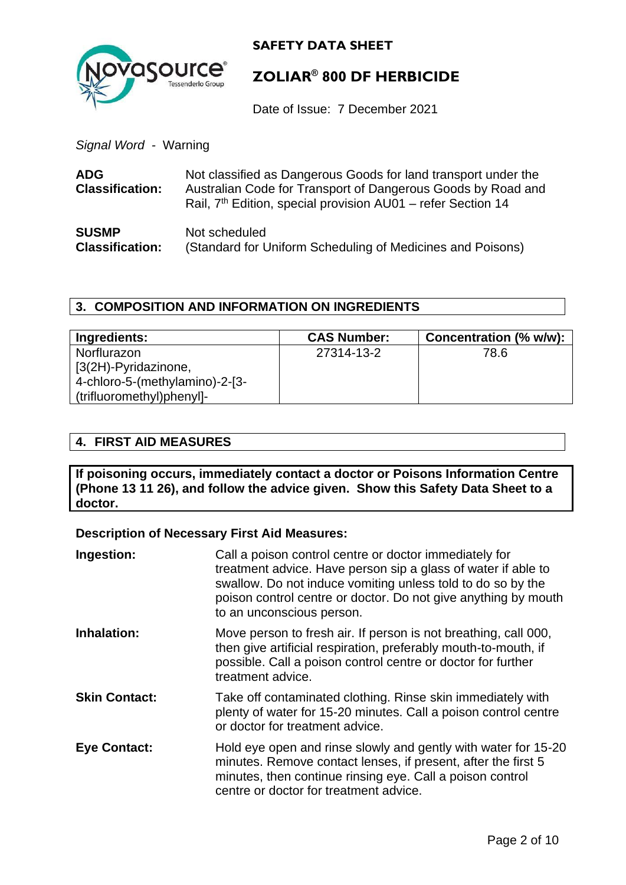

## **ZOLIAR® 800 DF HERBICIDE**

Date of Issue: 7 December 2021

*Signal Word -* Warning

| <b>ADG</b><br><b>Classification:</b> | Not classified as Dangerous Goods for land transport under the<br>Australian Code for Transport of Dangerous Goods by Road and<br>Rail, 7 <sup>th</sup> Edition, special provision AU01 – refer Section 14 |
|--------------------------------------|------------------------------------------------------------------------------------------------------------------------------------------------------------------------------------------------------------|
| <b>SUSMP</b>                         | Not scheduled                                                                                                                                                                                              |
| <b>Classification:</b>               | (Standard for Uniform Scheduling of Medicines and Poisons)                                                                                                                                                 |

#### **3. COMPOSITION AND INFORMATION ON INGREDIENTS**

| Ingredients:                   | <b>CAS Number:</b> | Concentration (% w/w): |
|--------------------------------|--------------------|------------------------|
| Norflurazon                    | 27314-13-2         | 78.6                   |
| [3(2H)-Pyridazinone,           |                    |                        |
| 4-chloro-5-(methylamino)-2-[3- |                    |                        |
| (trifluoromethyl)phenyl]-      |                    |                        |

#### **4. FIRST AID MEASURES**

**If poisoning occurs, immediately contact a doctor or Poisons Information Centre (Phone 13 11 26), and follow the advice given. Show this Safety Data Sheet to a doctor.**

#### **Description of Necessary First Aid Measures:**

| Ingestion:           | Call a poison control centre or doctor immediately for<br>treatment advice. Have person sip a glass of water if able to<br>swallow. Do not induce vomiting unless told to do so by the<br>poison control centre or doctor. Do not give anything by mouth<br>to an unconscious person. |
|----------------------|---------------------------------------------------------------------------------------------------------------------------------------------------------------------------------------------------------------------------------------------------------------------------------------|
| Inhalation:          | Move person to fresh air. If person is not breathing, call 000,<br>then give artificial respiration, preferably mouth-to-mouth, if<br>possible. Call a poison control centre or doctor for further<br>treatment advice.                                                               |
| <b>Skin Contact:</b> | Take off contaminated clothing. Rinse skin immediately with<br>plenty of water for 15-20 minutes. Call a poison control centre<br>or doctor for treatment advice.                                                                                                                     |
| <b>Eye Contact:</b>  | Hold eye open and rinse slowly and gently with water for 15-20<br>minutes. Remove contact lenses, if present, after the first 5<br>minutes, then continue rinsing eye. Call a poison control<br>centre or doctor for treatment advice.                                                |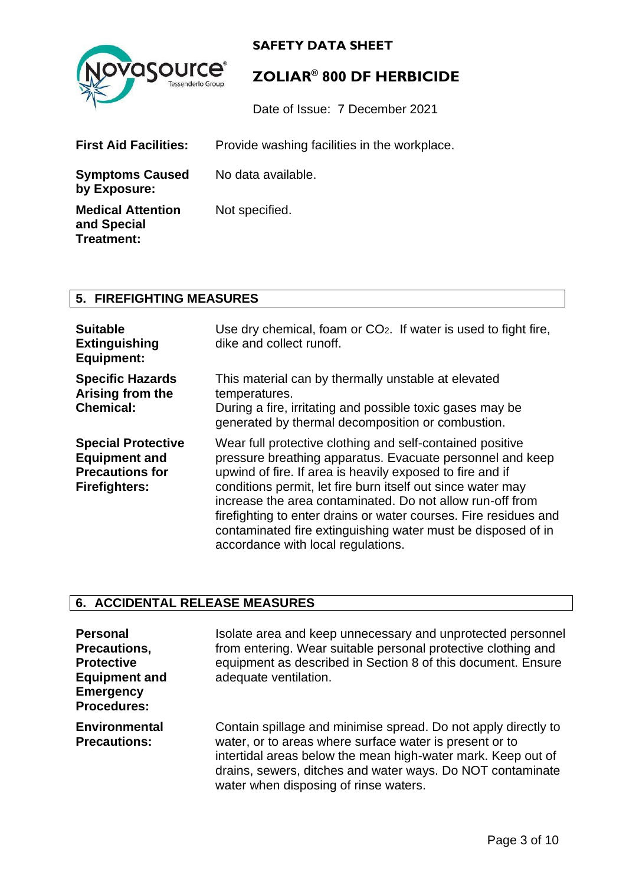



## **ZOLIAR® 800 DF HERBICIDE**

Date of Issue: 7 December 2021

| <b>First Aid Facilities:</b>                          | Provide washing facilities in the workplace. |
|-------------------------------------------------------|----------------------------------------------|
| <b>Symptoms Caused</b><br>by Exposure:                | No data available.                           |
| <b>Medical Attention</b><br>and Special<br>Treatment: | Not specified.                               |

### **5. FIREFIGHTING MEASURES**

| <b>Suitable</b><br><b>Extinguishing</b><br><b>Equipment:</b>                                        | Use dry chemical, foam or $CO2$ . If water is used to fight fire,<br>dike and collect runoff.                                                                                                                                                                                                                                                                                                                                                                                             |
|-----------------------------------------------------------------------------------------------------|-------------------------------------------------------------------------------------------------------------------------------------------------------------------------------------------------------------------------------------------------------------------------------------------------------------------------------------------------------------------------------------------------------------------------------------------------------------------------------------------|
| <b>Specific Hazards</b><br>Arising from the<br><b>Chemical:</b>                                     | This material can by thermally unstable at elevated<br>temperatures.<br>During a fire, irritating and possible toxic gases may be<br>generated by thermal decomposition or combustion.                                                                                                                                                                                                                                                                                                    |
| <b>Special Protective</b><br><b>Equipment and</b><br><b>Precautions for</b><br><b>Firefighters:</b> | Wear full protective clothing and self-contained positive<br>pressure breathing apparatus. Evacuate personnel and keep<br>upwind of fire. If area is heavily exposed to fire and if<br>conditions permit, let fire burn itself out since water may<br>increase the area contaminated. Do not allow run-off from<br>firefighting to enter drains or water courses. Fire residues and<br>contaminated fire extinguishing water must be disposed of in<br>accordance with local regulations. |

## **6. ACCIDENTAL RELEASE MEASURES**

| <b>Personal</b><br>Precautions,<br><b>Protective</b><br><b>Equipment and</b><br><b>Emergency</b><br><b>Procedures:</b> | Isolate area and keep unnecessary and unprotected personnel<br>from entering. Wear suitable personal protective clothing and<br>equipment as described in Section 8 of this document. Ensure<br>adequate ventilation.                                                                            |
|------------------------------------------------------------------------------------------------------------------------|--------------------------------------------------------------------------------------------------------------------------------------------------------------------------------------------------------------------------------------------------------------------------------------------------|
| <b>Environmental</b><br><b>Precautions:</b>                                                                            | Contain spillage and minimise spread. Do not apply directly to<br>water, or to areas where surface water is present or to<br>intertidal areas below the mean high-water mark. Keep out of<br>drains, sewers, ditches and water ways. Do NOT contaminate<br>water when disposing of rinse waters. |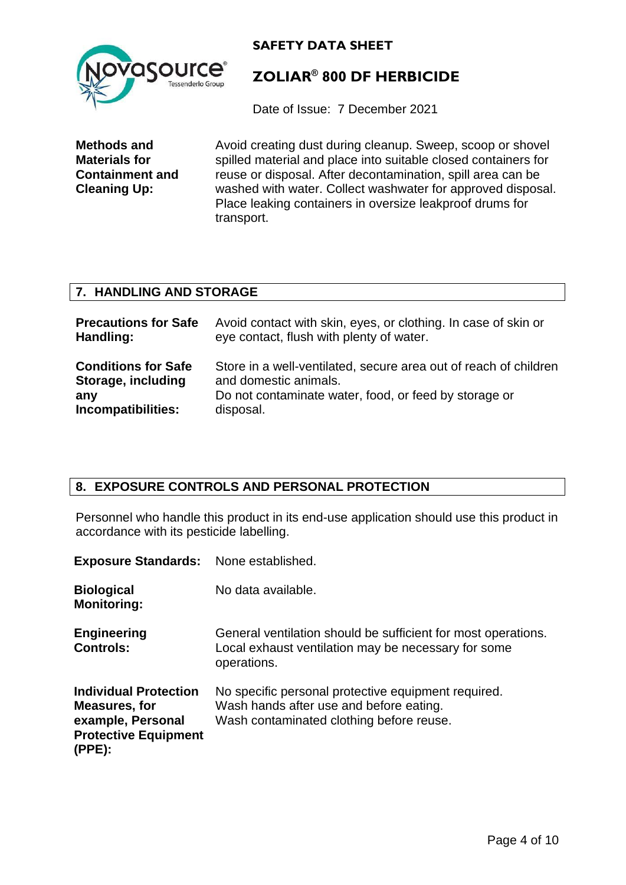

## **ZOLIAR® 800 DF HERBICIDE**

Date of Issue: 7 December 2021

**Methods and Materials for Containment and Cleaning Up:**

Avoid creating dust during cleanup. Sweep, scoop or shovel spilled material and place into suitable closed containers for reuse or disposal. After decontamination, spill area can be washed with water. Collect washwater for approved disposal. Place leaking containers in oversize leakproof drums for transport.

#### **7. HANDLING AND STORAGE**

| <b>Precautions for Safe</b> | Avoid contact with skin, eyes, or clothing. In case of skin or   |
|-----------------------------|------------------------------------------------------------------|
| Handling:                   | eye contact, flush with plenty of water.                         |
| <b>Conditions for Safe</b>  | Store in a well-ventilated, secure area out of reach of children |
| Storage, including          | and domestic animals.                                            |
| any                         | Do not contaminate water, food, or feed by storage or            |
| Incompatibilities:          | disposal.                                                        |

#### **8. EXPOSURE CONTROLS AND PERSONAL PROTECTION**

Personnel who handle this product in its end-use application should use this product in accordance with its pesticide labelling.

| <b>Exposure Standards:</b> None established.                                                                |                                                                                                                                            |
|-------------------------------------------------------------------------------------------------------------|--------------------------------------------------------------------------------------------------------------------------------------------|
| <b>Biological</b><br><b>Monitoring:</b>                                                                     | No data available.                                                                                                                         |
| <b>Engineering</b><br><b>Controls:</b>                                                                      | General ventilation should be sufficient for most operations.<br>Local exhaust ventilation may be necessary for some<br>operations.        |
| <b>Individual Protection</b><br>Measures, for<br>example, Personal<br><b>Protective Equipment</b><br>(PPE): | No specific personal protective equipment required.<br>Wash hands after use and before eating.<br>Wash contaminated clothing before reuse. |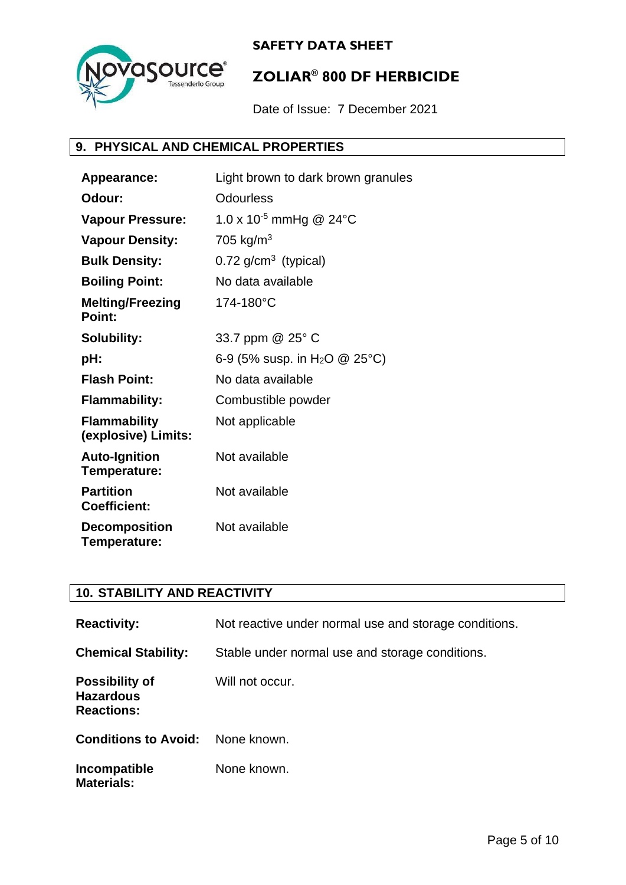

## **ZOLIAR® 800 DF HERBICIDE**

Date of Issue: 7 December 2021

#### **9. PHYSICAL AND CHEMICAL PROPERTIES**

| Appearance:                                | Light brown to dark brown granules            |
|--------------------------------------------|-----------------------------------------------|
| Odour:                                     | <b>Odourless</b>                              |
| <b>Vapour Pressure:</b>                    | 1.0 x 10 <sup>-5</sup> mmHg @ 24 $^{\circ}$ C |
| <b>Vapour Density:</b>                     | 705 kg/m <sup>3</sup>                         |
| <b>Bulk Density:</b>                       | $0.72$ g/cm <sup>3</sup> (typical)            |
| <b>Boiling Point:</b>                      | No data available                             |
| <b>Melting/Freezing</b><br>Point:          | 174-180°C                                     |
| <b>Solubility:</b>                         | 33.7 ppm @ 25° C                              |
| pH:                                        | 6-9 (5% susp. in H <sub>2</sub> O @ 25°C)     |
| <b>Flash Point:</b>                        | No data available                             |
| <b>Flammability:</b>                       | Combustible powder                            |
| <b>Flammability</b><br>(explosive) Limits: | Not applicable                                |
| <b>Auto-Ignition</b><br>Temperature:       | Not available                                 |
| <b>Partition</b><br><b>Coefficient:</b>    | Not available                                 |
| <b>Decomposition</b><br>Temperature:       | Not available                                 |

#### **10. STABILITY AND REACTIVITY**

| <b>Reactivity:</b>                                             | Not reactive under normal use and storage conditions. |
|----------------------------------------------------------------|-------------------------------------------------------|
| <b>Chemical Stability:</b>                                     | Stable under normal use and storage conditions.       |
| <b>Possibility of</b><br><b>Hazardous</b><br><b>Reactions:</b> | Will not occur.                                       |
| <b>Conditions to Avoid:</b>                                    | None known.                                           |
| Incompatible<br><b>Materials:</b>                              | None known.                                           |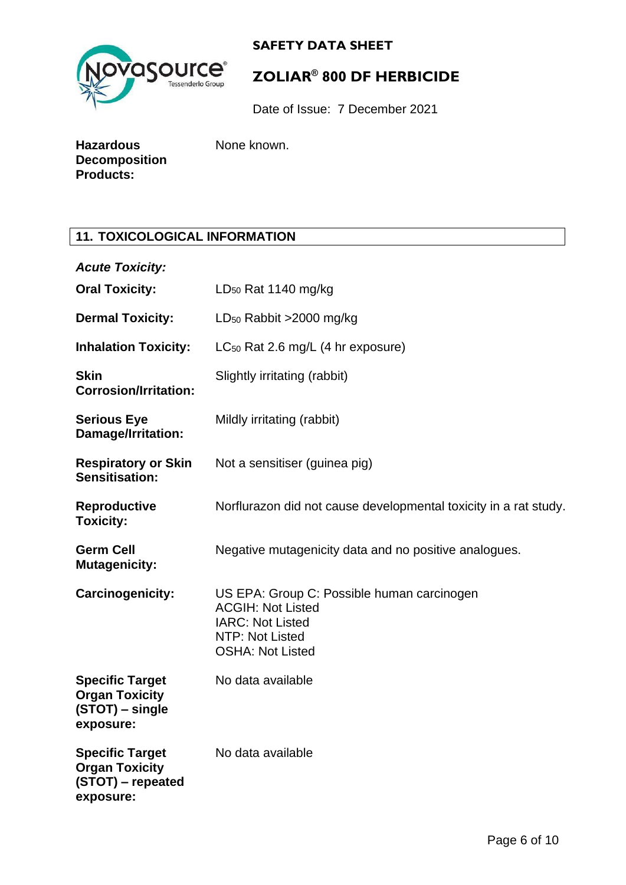

# **ZOLIAR® 800 DF HERBICIDE**

Date of Issue: 7 December 2021

| Hazardous            |  |
|----------------------|--|
| <b>Decomposition</b> |  |
| <b>Products:</b>     |  |

None known.

#### **11. TOXICOLOGICAL INFORMATION**

| <b>Acute Toxicity:</b>                                                            |                                                                                                                                                 |
|-----------------------------------------------------------------------------------|-------------------------------------------------------------------------------------------------------------------------------------------------|
| <b>Oral Toxicity:</b>                                                             | $LD_{50}$ Rat 1140 mg/kg                                                                                                                        |
| <b>Dermal Toxicity:</b>                                                           | $LD_{50}$ Rabbit >2000 mg/kg                                                                                                                    |
| <b>Inhalation Toxicity:</b>                                                       | $LC_{50}$ Rat 2.6 mg/L (4 hr exposure)                                                                                                          |
| <b>Skin</b><br><b>Corrosion/Irritation:</b>                                       | Slightly irritating (rabbit)                                                                                                                    |
| <b>Serious Eye</b><br>Damage/Irritation:                                          | Mildly irritating (rabbit)                                                                                                                      |
| <b>Respiratory or Skin</b><br><b>Sensitisation:</b>                               | Not a sensitiser (guinea pig)                                                                                                                   |
| <b>Reproductive</b><br><b>Toxicity:</b>                                           | Norflurazon did not cause developmental toxicity in a rat study.                                                                                |
| <b>Germ Cell</b><br><b>Mutagenicity:</b>                                          | Negative mutagenicity data and no positive analogues.                                                                                           |
| Carcinogenicity:                                                                  | US EPA: Group C: Possible human carcinogen<br><b>ACGIH: Not Listed</b><br><b>IARC: Not Listed</b><br>NTP: Not Listed<br><b>OSHA: Not Listed</b> |
| <b>Specific Target</b><br><b>Organ Toxicity</b><br>(STOT) – single<br>exposure:   | No data available                                                                                                                               |
| <b>Specific Target</b><br><b>Organ Toxicity</b><br>(STOT) – repeated<br>exposure: | No data available                                                                                                                               |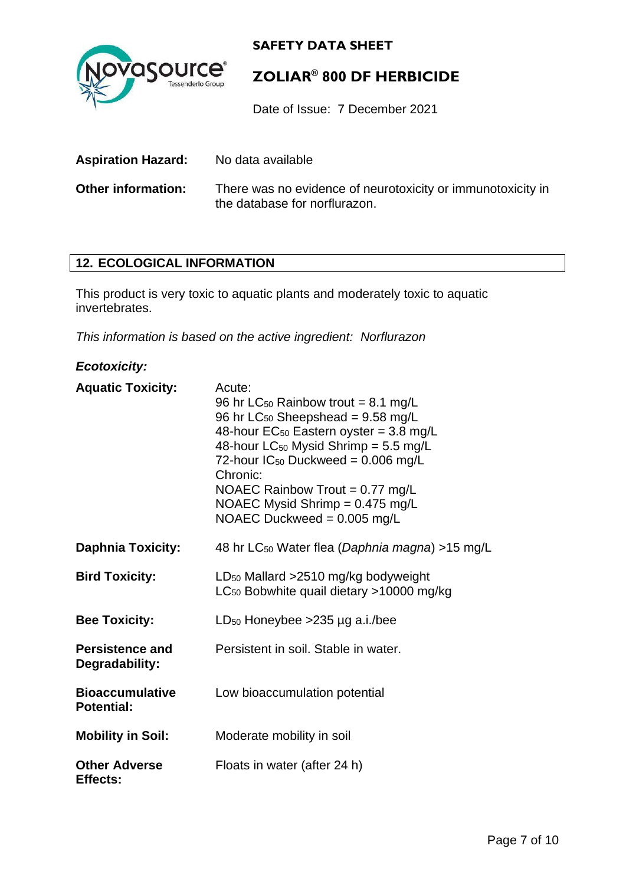

## **ZOLIAR® 800 DF HERBICIDE**

Date of Issue: 7 December 2021

**Aspiration Hazard:** No data available **Other information:** There was no evidence of neurotoxicity or immunotoxicity in the database for norflurazon.

#### **12. ECOLOGICAL INFORMATION**

This product is very toxic to aquatic plants and moderately toxic to aquatic invertebrates.

*This information is based on the active ingredient: Norflurazon*

#### *Ecotoxicity:*

| <b>Aquatic Toxicity:</b>                    | Acute:<br>96 hr LC <sub>50</sub> Rainbow trout = 8.1 mg/L<br>96 hr $LC_{50}$ Sheepshead = 9.58 mg/L<br>48-hour $EC_{50}$ Eastern oyster = 3.8 mg/L<br>48-hour LC <sub>50</sub> Mysid Shrimp = $5.5$ mg/L<br>72-hour $IC_{50}$ Duckweed = 0.006 mg/L<br>Chronic:<br>NOAEC Rainbow Trout = $0.77$ mg/L<br>NOAEC Mysid Shrimp = $0.475$ mg/L<br>NOAEC Duckweed = $0.005$ mg/L |
|---------------------------------------------|----------------------------------------------------------------------------------------------------------------------------------------------------------------------------------------------------------------------------------------------------------------------------------------------------------------------------------------------------------------------------|
| <b>Daphnia Toxicity:</b>                    | 48 hr LC <sub>50</sub> Water flea (Daphnia magna) > 15 mg/L                                                                                                                                                                                                                                                                                                                |
| <b>Bird Toxicity:</b>                       | LD <sub>50</sub> Mallard >2510 mg/kg bodyweight<br>LC <sub>50</sub> Bobwhite quail dietary >10000 mg/kg                                                                                                                                                                                                                                                                    |
| <b>Bee Toxicity:</b>                        | LD <sub>50</sub> Honeybee > $235 \mu g$ a.i./bee                                                                                                                                                                                                                                                                                                                           |
| <b>Persistence and</b><br>Degradability:    | Persistent in soil. Stable in water.                                                                                                                                                                                                                                                                                                                                       |
| <b>Bioaccumulative</b><br><b>Potential:</b> | Low bioaccumulation potential                                                                                                                                                                                                                                                                                                                                              |
| <b>Mobility in Soil:</b>                    | Moderate mobility in soil                                                                                                                                                                                                                                                                                                                                                  |
| <b>Other Adverse</b><br><b>Effects:</b>     | Floats in water (after 24 h)                                                                                                                                                                                                                                                                                                                                               |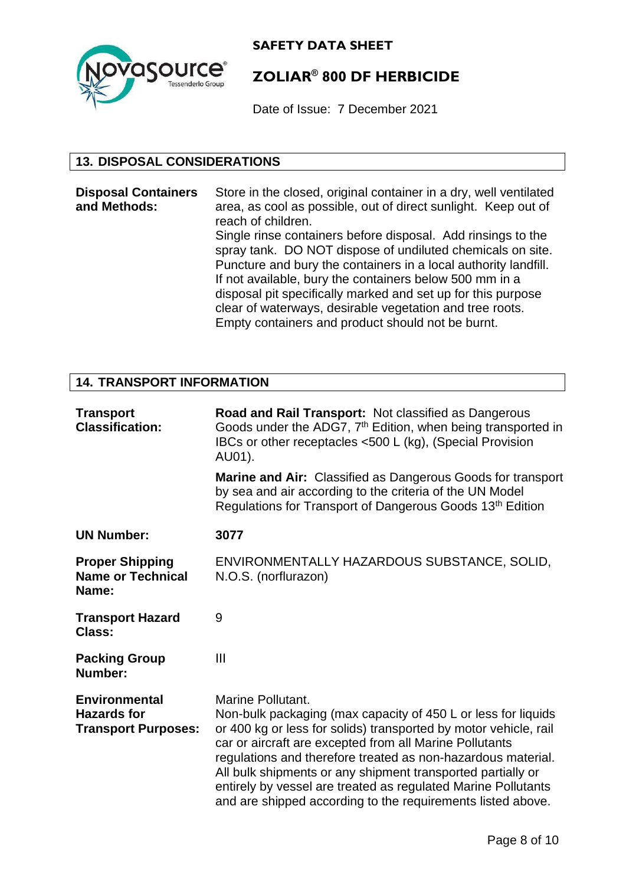

## **ZOLIAR® 800 DF HERBICIDE**

Date of Issue: 7 December 2021

#### **13. DISPOSAL CONSIDERATIONS**

**Disposal Containers and Methods:** Store in the closed, original container in a dry, well ventilated area, as cool as possible, out of direct sunlight. Keep out of reach of children. Single rinse containers before disposal. Add rinsings to the spray tank. DO NOT dispose of undiluted chemicals on site. Puncture and bury the containers in a local authority landfill. If not available, bury the containers below 500 mm in a disposal pit specifically marked and set up for this purpose clear of waterways, desirable vegetation and tree roots. Empty containers and product should not be burnt.

#### **14. TRANSPORT INFORMATION**

| <b>Transport</b><br><b>Classification:</b>                               | Road and Rail Transport: Not classified as Dangerous<br>Goods under the ADG7, 7 <sup>th</sup> Edition, when being transported in<br>IBCs or other receptacles <500 L (kg), (Special Provision<br>AU01).                                                                                                                                                                                                                                                                          |
|--------------------------------------------------------------------------|----------------------------------------------------------------------------------------------------------------------------------------------------------------------------------------------------------------------------------------------------------------------------------------------------------------------------------------------------------------------------------------------------------------------------------------------------------------------------------|
|                                                                          | <b>Marine and Air:</b> Classified as Dangerous Goods for transport<br>by sea and air according to the criteria of the UN Model<br>Regulations for Transport of Dangerous Goods 13 <sup>th</sup> Edition                                                                                                                                                                                                                                                                          |
| <b>UN Number:</b>                                                        | 3077                                                                                                                                                                                                                                                                                                                                                                                                                                                                             |
| <b>Proper Shipping</b><br><b>Name or Technical</b><br>Name:              | ENVIRONMENTALLY HAZARDOUS SUBSTANCE, SOLID,<br>N.O.S. (norflurazon)                                                                                                                                                                                                                                                                                                                                                                                                              |
| <b>Transport Hazard</b><br>Class:                                        | 9                                                                                                                                                                                                                                                                                                                                                                                                                                                                                |
| <b>Packing Group</b><br>Number:                                          | Ш                                                                                                                                                                                                                                                                                                                                                                                                                                                                                |
| <b>Environmental</b><br><b>Hazards for</b><br><b>Transport Purposes:</b> | Marine Pollutant.<br>Non-bulk packaging (max capacity of 450 L or less for liquids<br>or 400 kg or less for solids) transported by motor vehicle, rail<br>car or aircraft are excepted from all Marine Pollutants<br>regulations and therefore treated as non-hazardous material.<br>All bulk shipments or any shipment transported partially or<br>entirely by vessel are treated as regulated Marine Pollutants<br>and are shipped according to the requirements listed above. |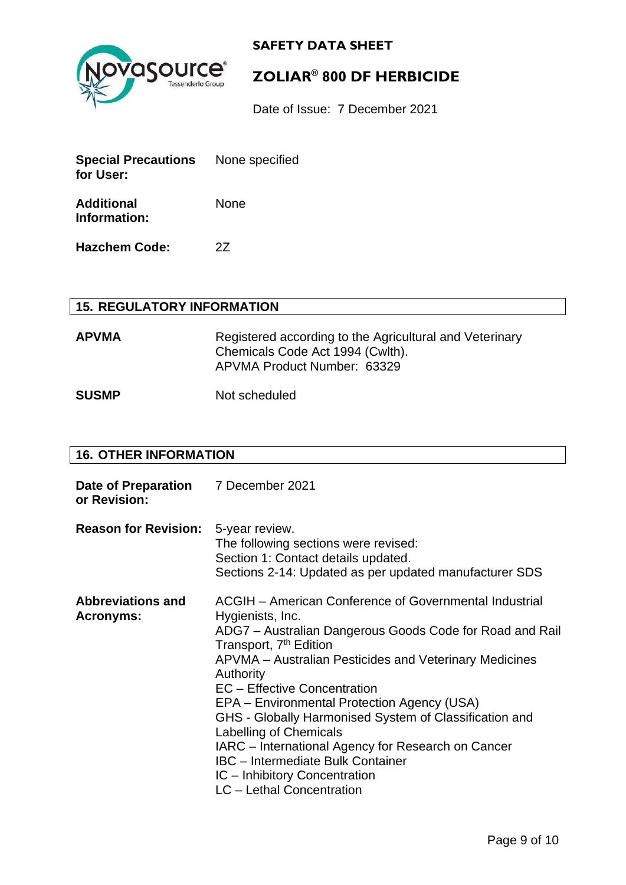



## **ZOLIAR® 800 DF HERBICIDE**

Date of Issue: 7 December 2021

| <b>Special Precautions</b><br>for User: | None specified |  |
|-----------------------------------------|----------------|--|
| <b>Additional</b><br>Information:       | None           |  |
| <b>Hazchem Code:</b>                    | 27             |  |

#### **15. REGULATORY INFORMATION**

APVMA Registered according to the Agricultural and Veterinary Chemicals Code Act 1994 (Cwlth). APVMA Product Number: 63329

**SUSMP** Not scheduled

#### **16. OTHER INFORMATION**

| Date of Preparation 7 December 2021<br>or Revision: |                                                                                                                                                                                                                                                                                                                                                                                                                                                                                                                                                                                               |
|-----------------------------------------------------|-----------------------------------------------------------------------------------------------------------------------------------------------------------------------------------------------------------------------------------------------------------------------------------------------------------------------------------------------------------------------------------------------------------------------------------------------------------------------------------------------------------------------------------------------------------------------------------------------|
| <b>Reason for Revision:</b>                         | 5-year review.<br>The following sections were revised:<br>Section 1: Contact details updated.<br>Sections 2-14: Updated as per updated manufacturer SDS                                                                                                                                                                                                                                                                                                                                                                                                                                       |
| <b>Abbreviations and</b><br><b>Acronyms:</b>        | ACGIH - American Conference of Governmental Industrial<br>Hygienists, Inc.<br>ADG7 - Australian Dangerous Goods Code for Road and Rail<br>Transport, 7 <sup>th</sup> Edition<br>APVMA – Australian Pesticides and Veterinary Medicines<br>Authority<br><b>EC</b> – Effective Concentration<br>EPA - Environmental Protection Agency (USA)<br>GHS - Globally Harmonised System of Classification and<br>Labelling of Chemicals<br>IARC - International Agency for Research on Cancer<br><b>IBC</b> – Intermediate Bulk Container<br>IC - Inhibitory Concentration<br>LC - Lethal Concentration |